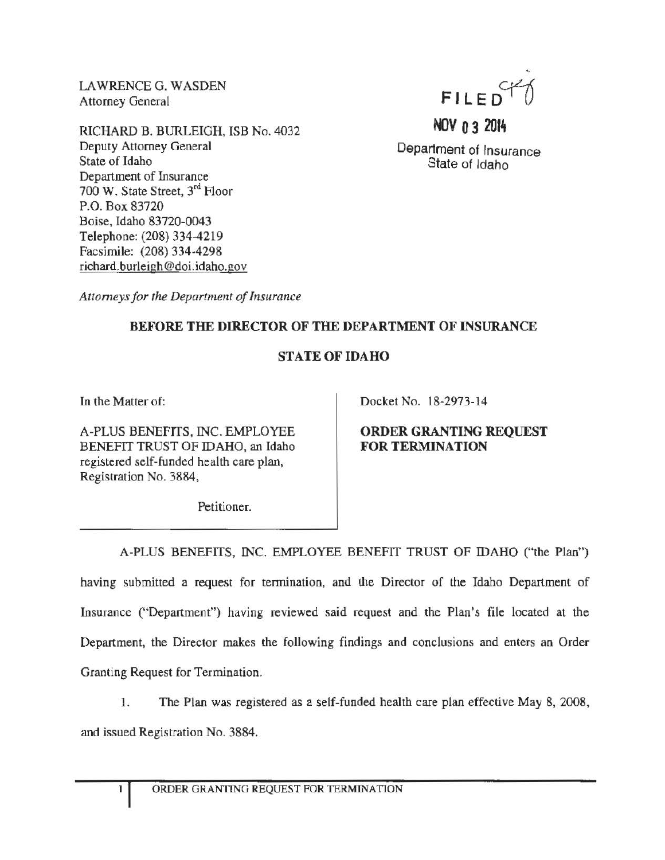LAWRENCE G. WASDEN Attorney General

RICHARD B. BURLEIGH, ISB No. 4032 Deputy Attorney General State of Idaho Department of Insurance 700 W. State Street, 3rd Floor P.O. Box 83720 Boise, Idaho 83720-0043 Telephone: (208) 334-4219 Facsimile: (208) 334-4298 richard.burleigh @doi.idaho.gov



Department of Insurance State of Idaho

NOV  $n$  3 2014

*Attomeys for the Department of Insurance* 

## BEFORE THE DIRECTOR OF THE DEPARTMENT OF INSURANCE

## STATE OF IDAHO

In the Matter of:

A-PLUS BENEFITS, INC. EMPLOYEE BENEFIT TRUST OF IDAHO, an Idaho registered self-funded health care plan, Registration No. 3884,

Docket No. 18-2973-14

ORDER GRANTING REQUEST FOR TERMINATION

Petitioner.

A-PLUS BENEFITS, INC. EMPLOYEE BENEFIT TRUST OF IDAHO ("the Plan") having submitted a request for tennination, and the Director of the Idaho Department of Insurance ("Department") having reviewed said request and the Plan's file located at the Department, the Director makes the following findings and conclusions and enters an Order Granting Request for Termination.

1. The Plan was registered as a self-funded health care plan effective May 8, 2008, and issued Registration No. 3884.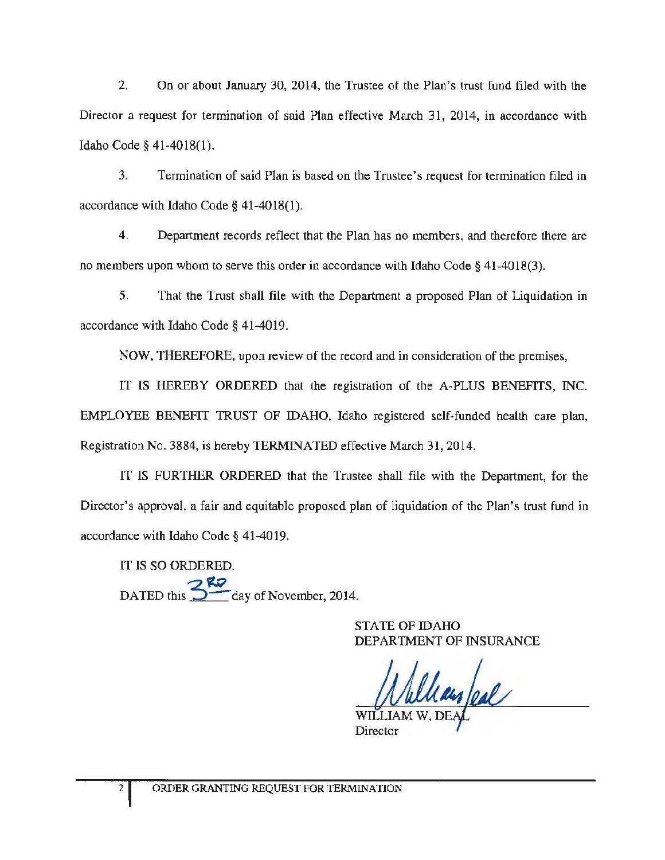2. On or about January 30, 2014, the Trustee of the Plan's trust fund filed with the Director a request for termination of said Plan effective March 31, 2014, in accordance with Idaho Code§ 41-4018(1).

3. Termination of said Plan is based on the Trustee's request for termination filed in accordance with Idaho Code § 41-4018(1).

4. Department records reflect that the Plan has no members, and therefore there are no members upon whom to serve this order in accordance with Idaho Code§ 41-4018(3).

5. That the Trust shall file with the Department a proposed Plan of Liquidation in accordance with Idaho Code§ 41-4019.

NOW, THEREFORE, upon review of the record and in consideration of the premises,

IT IS HEREBY ORDERED that the registration of the A-PLUS BENEFITS, INC. EMPLOYEE BENEFIT TRUST OF IDAHO, Idaho registered self-funded health care plan, Registration No. 3884, is hereby TERMINATED effective March 31,2014.

IT IS FURTHER ORDERED that the Trustee shall file with the Department, for the Director's approval, a fair and equitable proposed plan of liquidation of the Plan's trust fund in accordance with Idaho Code§ 41-4019.

IT IS SO ORDERED. DATED this  $\frac{3}{\sqrt{2}}$  day of November, 2014.

> STATE OF IDAHO DEPARTMENT OF INSURANCE

Uay/eal

Director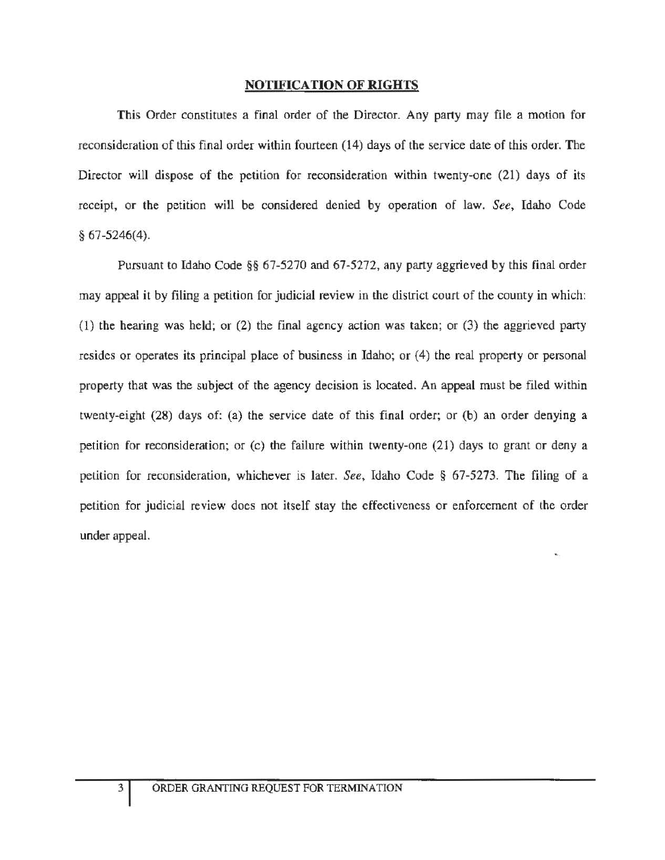## NOTIFICATION OF RIGHTS

This Order constitutes a final order of the Director. Any party may file a motion for reconsideration of this final order within fourteen (14) days of the service date of this order. The Director will dispose of the petition for reconsideration within twenty-one (21) days of its receipt, or the petition will be considered denied by operation of law. *See,* Idaho Code § 67-5246(4).

Pursuant to Idaho Code §§ 67-5270 and 67-5272, any party aggrieved by this final order may appeal it by filing a petition for judicial review in the district court of the county in which: (1) the hearing was held; or (2) the final agency action was taken; or (3) the aggrieved party resides or operates its principal place of business *in* Idaho; or (4) the real property or personal property that was the subject of the agency decision is located. An appeal must be filed within twenty-eight (28) days of: (a) the service date of this final order; or (b) an order denying a petition for reconsideration; or (c) the failure within twenty-one (21) days to grant or deny a petition for reconsideration, whichever *is* later. *See,* Idaho Code § 67-5273. The filing of a petition for judicial review does not itself stay the effectiveness or enforcement of the order under appeal.